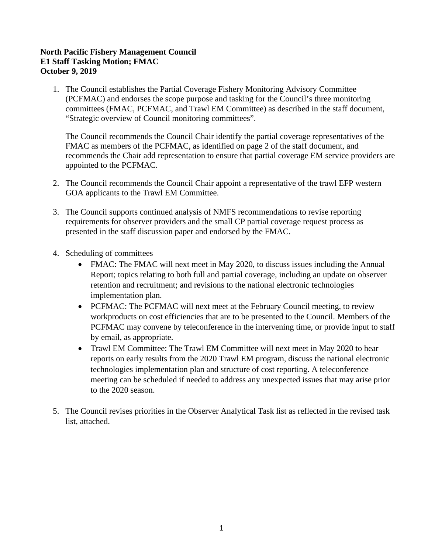## **North Pacific Fishery Management Council E1 Staff Tasking Motion; FMAC October 9, 2019**

1. The Council establishes the Partial Coverage Fishery Monitoring Advisory Committee (PCFMAC) and endorses the scope purpose and tasking for the Council's three monitoring committees (FMAC, PCFMAC, and Trawl EM Committee) as described in the staff document, "Strategic overview of Council monitoring committees".

The Council recommends the Council Chair identify the partial coverage representatives of the FMAC as members of the PCFMAC, as identified on page 2 of the staff document, and recommends the Chair add representation to ensure that partial coverage EM service providers are appointed to the PCFMAC.

- 2. The Council recommends the Council Chair appoint a representative of the trawl EFP western GOA applicants to the Trawl EM Committee.
- 3. The Council supports continued analysis of NMFS recommendations to revise reporting requirements for observer providers and the small CP partial coverage request process as presented in the staff discussion paper and endorsed by the FMAC.
- 4. Scheduling of committees
	- FMAC: The FMAC will next meet in May 2020, to discuss issues including the Annual Report; topics relating to both full and partial coverage, including an update on observer retention and recruitment; and revisions to the national electronic technologies implementation plan.
	- PCFMAC: The PCFMAC will next meet at the February Council meeting, to review workproducts on cost efficiencies that are to be presented to the Council. Members of the PCFMAC may convene by teleconference in the intervening time, or provide input to staff by email, as appropriate.
	- Trawl EM Committee: The Trawl EM Committee will next meet in May 2020 to hear reports on early results from the 2020 Trawl EM program, discuss the national electronic technologies implementation plan and structure of cost reporting. A teleconference meeting can be scheduled if needed to address any unexpected issues that may arise prior to the 2020 season.
- 5. The Council revises priorities in the Observer Analytical Task list as reflected in the revised task list, attached.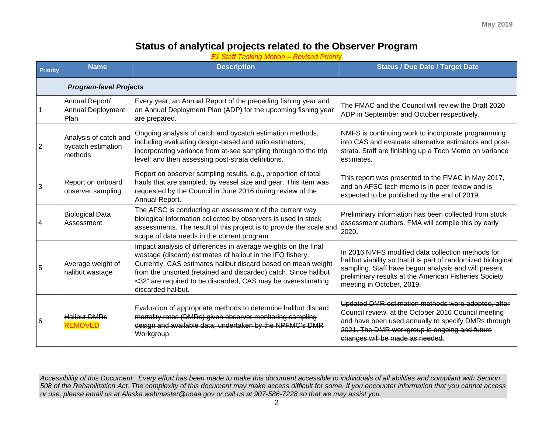## **Status of analytical projects related to the Observer Program**

*E1 Staff Tasking Motion – Revised Priority*

| <b>Priority</b>               | <b>Name</b>                                            | <b>Description</b>                                                                                                                                                                                                                                                                                                                                     | <b>Status / Due Date / Target Date</b>                                                                                                                                                                                                                           |  |  |  |
|-------------------------------|--------------------------------------------------------|--------------------------------------------------------------------------------------------------------------------------------------------------------------------------------------------------------------------------------------------------------------------------------------------------------------------------------------------------------|------------------------------------------------------------------------------------------------------------------------------------------------------------------------------------------------------------------------------------------------------------------|--|--|--|
| <b>Program-level Projects</b> |                                                        |                                                                                                                                                                                                                                                                                                                                                        |                                                                                                                                                                                                                                                                  |  |  |  |
|                               | Annual Report/<br><b>Annual Deployment</b><br>Plan     | Every year, an Annual Report of the preceding fishing year and<br>an Annual Deployment Plan (ADP) for the upcoming fishing year<br>are prepared.                                                                                                                                                                                                       | The FMAC and the Council will review the Draft 2020<br>ADP in September and October respectively.                                                                                                                                                                |  |  |  |
| 2                             | Analysis of catch and<br>bycatch estimation<br>methods | Ongoing analysis of catch and bycatch estimation methods,<br>including evaluating design-based and ratio estimators;<br>incorporating variance from at-sea sampling through to the trip<br>level; and then assessing post-strata definitions.                                                                                                          | NMFS is continuing work to incorporate programming<br>into CAS and evaluate alternative estimators and post-<br>strata. Staff are finishing up a Tech Memo on variance<br>estimates.                                                                             |  |  |  |
|                               | Report on onboard<br>observer sampling                 | Report on observer sampling results, e.g., proportion of total<br>hauls that are sampled, by vessel size and gear. This item was<br>requested by the Council in June 2016 during review of the<br>Annual Report.                                                                                                                                       | This report was presented to the FMAC in May 2017,<br>and an AFSC tech memo is in peer review and is<br>expected to be published by the end of 2019.                                                                                                             |  |  |  |
|                               | <b>Biological Data</b><br>Assessment                   | The AFSC is conducting an assessment of the current way<br>biological information collected by observers is used in stock<br>assessments. The result of this project is to provide the scale and<br>scope of data needs in the current program.                                                                                                        | Preliminary information has been collected from stock<br>assessment authors. FMA will compile this by early<br>2020.                                                                                                                                             |  |  |  |
| 5                             | Average weight of<br>halibut wastage                   | Impact analysis of differences in average weights on the final<br>wastage (discard) estimates of halibut in the IFQ fishery.<br>Currently, CAS estimates halibut discard based on mean weight<br>from the unsorted (retained and discarded) catch. Since halibut<br><32" are required to be discarded, CAS may be overestimating<br>discarded halibut. | In 2016 NMFS modified data collection methods for<br>halibut viability so that it is part of randomized biological<br>sampling. Staff have begun analysis and will present<br>preliminary results at the American Fisheries Society<br>meeting in October, 2019. |  |  |  |
| 6                             | <b>Halibut DMRs</b><br><b>REMOVED</b>                  | Evaluation of appropriate methods to determine halibut discard<br>mortality rates (DMRs) given observer monitoring sampling<br>design and available data; undertaken by the NPFMC's DMR<br>Workgroup.                                                                                                                                                  | Updated DMR estimation methods were adopted, after<br>Council review, at the October 2016 Council meeting<br>and have been used annually to specify DMRs through<br>2021. The DMR workgroup is ongoing and future<br>changes will be made as needed.             |  |  |  |

*Accessibility of this Document: Every effort has been made to make this document accessible to individuals of all abilities and compliant with Section 508 of the Rehabilitation Act. The complexity of this document may make access difficult for some. If you encounter information that you cannot access or use, please email us at Alaska.webmaster@noaa.gov or call us at 907-586-7228 so that we may assist you.*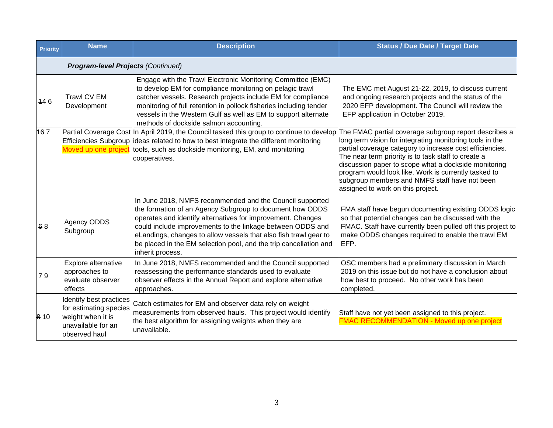| <b>Priority</b> | <b>Name</b>                                                                                                   | <b>Description</b>                                                                                                                                                                                                                                                                                                                                                                                             | <b>Status / Due Date / Target Date</b>                                                                                                                                                                                                                                                                                                                                                                                                     |  |  |  |  |
|-----------------|---------------------------------------------------------------------------------------------------------------|----------------------------------------------------------------------------------------------------------------------------------------------------------------------------------------------------------------------------------------------------------------------------------------------------------------------------------------------------------------------------------------------------------------|--------------------------------------------------------------------------------------------------------------------------------------------------------------------------------------------------------------------------------------------------------------------------------------------------------------------------------------------------------------------------------------------------------------------------------------------|--|--|--|--|
|                 | <b>Program-level Projects (Continued)</b>                                                                     |                                                                                                                                                                                                                                                                                                                                                                                                                |                                                                                                                                                                                                                                                                                                                                                                                                                                            |  |  |  |  |
| 446             | Trawl CV EM<br>Development                                                                                    | Engage with the Trawl Electronic Monitoring Committee (EMC)<br>to develop EM for compliance monitoring on pelagic trawl<br>catcher vessels. Research projects include EM for compliance<br>monitoring of full retention in pollock fisheries including tender<br>vessels in the Western Gulf as well as EM to support alternate<br>methods of dockside salmon accounting.                                      | The EMC met August 21-22, 2019, to discuss current<br>and ongoing research projects and the status of the<br>2020 EFP development. The Council will review the<br>EFP application in October 2019.                                                                                                                                                                                                                                         |  |  |  |  |
| 167             | Efficiencies Subgroup<br>Moved up one project                                                                 | Partial Coverage Cost In April 2019, the Council tasked this group to continue to develop<br>ideas related to how to best integrate the different monitoring<br>tools, such as dockside monitoring, EM, and monitoring<br>cooperatives.                                                                                                                                                                        | The FMAC partial coverage subgroup report describes a<br>long term vision for integrating monitoring tools in the<br>partial coverage category to increase cost efficiencies.<br>The near term priority is to task staff to create a<br>discussion paper to scope what a dockside monitoring<br>program would look like. Work is currently tasked to<br>subgroup members and NMFS staff have not been<br>assigned to work on this project. |  |  |  |  |
| 68              | Agency ODDS<br>Subgroup                                                                                       | In June 2018, NMFS recommended and the Council supported<br>the formation of an Agency Subgroup to document how ODDS<br>operates and identify alternatives for improvement. Changes<br>could include improvements to the linkage between ODDS and<br>eLandings, changes to allow vessels that also fish trawl gear to<br>be placed in the EM selection pool, and the trip cancellation and<br>inherit process. | FMA staff have begun documenting existing ODDS logic<br>so that potential changes can be discussed with the<br>FMAC. Staff have currently been pulled off this project to<br>make ODDS changes required to enable the trawl EM<br>EFP.                                                                                                                                                                                                     |  |  |  |  |
| 79              | Explore alternative<br>approaches to<br>evaluate observer<br>effects                                          | In June 2018, NMFS recommended and the Council supported<br>reassessing the performance standards used to evaluate<br>observer effects in the Annual Report and explore alternative<br>approaches.                                                                                                                                                                                                             | OSC members had a preliminary discussion in March<br>2019 on this issue but do not have a conclusion about<br>how best to proceed. No other work has been<br>completed.                                                                                                                                                                                                                                                                    |  |  |  |  |
| 8 1 0           | Identify best practices<br>for estimating species<br>weight when it is<br>unavailable for an<br>observed haul | Catch estimates for EM and observer data rely on weight<br>measurements from observed hauls. This project would identify<br>the best algorithm for assigning weights when they are<br>unavailable.                                                                                                                                                                                                             | Staff have not yet been assigned to this project.<br><b>FMAC RECOMMENDATION - Moved up one project</b>                                                                                                                                                                                                                                                                                                                                     |  |  |  |  |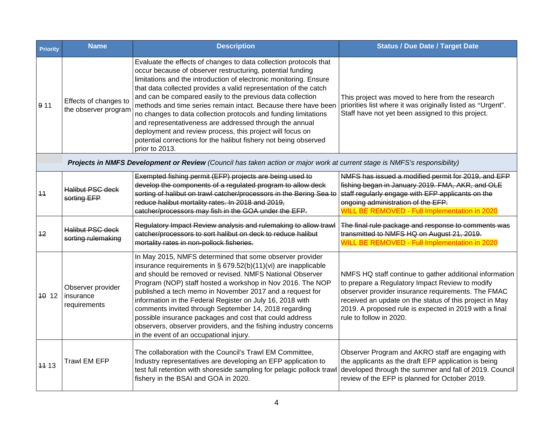| <b>Priority</b> | <b>Name</b>                                                                                                               | <b>Description</b>                                                                                                                                                                                                                                                                                                                                                                                                                                                                                                                                                                                                                                                                        | <b>Status / Due Date / Target Date</b>                                                                                                                                                                                                                                                                           |  |  |  |
|-----------------|---------------------------------------------------------------------------------------------------------------------------|-------------------------------------------------------------------------------------------------------------------------------------------------------------------------------------------------------------------------------------------------------------------------------------------------------------------------------------------------------------------------------------------------------------------------------------------------------------------------------------------------------------------------------------------------------------------------------------------------------------------------------------------------------------------------------------------|------------------------------------------------------------------------------------------------------------------------------------------------------------------------------------------------------------------------------------------------------------------------------------------------------------------|--|--|--|
| 911             | Effects of changes to<br>the observer program                                                                             | Evaluate the effects of changes to data collection protocols that<br>occur because of observer restructuring, potential funding<br>limitations and the introduction of electronic monitoring. Ensure<br>that data collected provides a valid representation of the catch<br>and can be compared easily to the previous data collection<br>methods and time series remain intact. Because there have been<br>no changes to data collection protocols and funding limitations<br>and representativeness are addressed through the annual<br>deployment and review process, this project will focus on<br>potential corrections for the halibut fishery not being observed<br>prior to 2013. | This project was moved to here from the research<br>priorities list where it was originally listed as "Urgent".<br>Staff have not yet been assigned to this project.                                                                                                                                             |  |  |  |
|                 | Projects in NMFS Development or Review (Council has taken action or major work at current stage is NMFS's responsibility) |                                                                                                                                                                                                                                                                                                                                                                                                                                                                                                                                                                                                                                                                                           |                                                                                                                                                                                                                                                                                                                  |  |  |  |
| 11              | <b>Halibut PSC deck</b><br>sorting EFP                                                                                    | Exempted fishing permit (EFP) projects are being used to<br>develop the components of a regulated program to allow deck<br>sorting of halibut on trawl catcher/processors in the Bering Sea to<br>reduce halibut mortality rates. In 2018 and 2019,<br>catcher/processors may fish in the GOA under the EFP.                                                                                                                                                                                                                                                                                                                                                                              | NMFS has issued a modified permit for 2019, and EFP<br>fishing began in January 2019. FMA, AKR, and OLE<br>staff regularly engage with EFP applicants on the<br>ongoing administration of the EFP.<br><b>WILL BE REMOVED - Full Implementation in 2020</b>                                                       |  |  |  |
| 12              | <b>Halibut PSC deck</b><br>sorting rulemaking                                                                             | Regulatory Impact Review analysis and rulemaking to allow trawl<br>catcher/processors to sort halibut on deck to reduce halibut<br>mortality rates in non-pollock fisheries.                                                                                                                                                                                                                                                                                                                                                                                                                                                                                                              | The final rule package and response to comments was<br>transmitted to NMFS HQ on August 21, 2019.<br><b>WILL BE REMOVED - Full Implementation in 2020</b>                                                                                                                                                        |  |  |  |
| $ 40 \t12$      | Observer provider<br>insurance<br>requirements                                                                            | In May 2015, NMFS determined that some observer provider<br>insurance requirements in $\S$ 679.52(b)(11)(vi) are inapplicable<br>and should be removed or revised. NMFS National Observer<br>Program (NOP) staff hosted a workshop in Nov 2016. The NOP<br>published a tech memo in November 2017 and a request for<br>information in the Federal Register on July 16, 2018 with<br>comments invited through September 14, 2018 regarding<br>possible insurance packages and cost that could address<br>observers, observer providers, and the fishing industry concerns<br>in the event of an occupational injury.                                                                       | NMFS HQ staff continue to gather additional information<br>to prepare a Regulatory Impact Review to modify<br>observer provider insurance requirements. The FMAC<br>received an update on the status of this project in May<br>2019. A proposed rule is expected in 2019 with a final<br>rule to follow in 2020. |  |  |  |
| 11 13           | <b>Trawl EM EFP</b>                                                                                                       | The collaboration with the Council's Trawl EM Committee,<br>Industry representatives are developing an EFP application to<br>test full retention with shoreside sampling for pelagic pollock trawl<br>fishery in the BSAI and GOA in 2020.                                                                                                                                                                                                                                                                                                                                                                                                                                                | Observer Program and AKRO staff are engaging with<br>the applicants as the draft EFP application is being<br>developed through the summer and fall of 2019. Council<br>review of the EFP is planned for October 2019.                                                                                            |  |  |  |